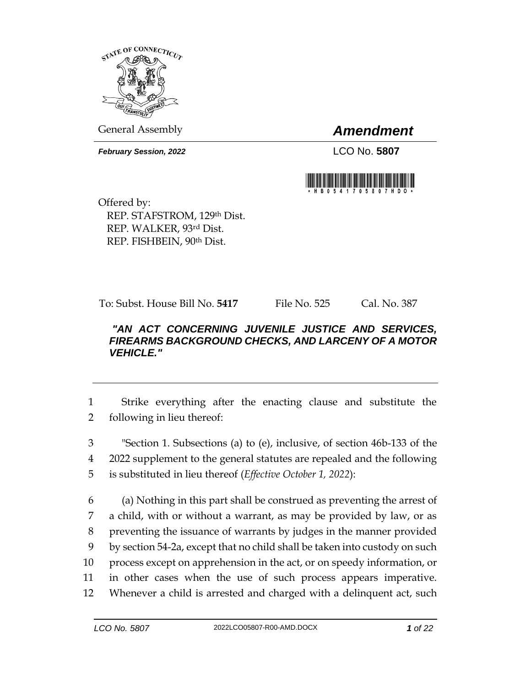

General Assembly *Amendment*

*February Session, 2022* LCO No. 5807



Offered by: REP. STAFSTROM, 129th Dist. REP. WALKER, 93rd Dist. REP. FISHBEIN, 90th Dist.

To: Subst. House Bill No. **5417** File No. 525 Cal. No. 387

## *"AN ACT CONCERNING JUVENILE JUSTICE AND SERVICES, FIREARMS BACKGROUND CHECKS, AND LARCENY OF A MOTOR VEHICLE."*

1 Strike everything after the enacting clause and substitute the 2 following in lieu thereof:

3 "Section 1. Subsections (a) to (e), inclusive, of section 46b-133 of the 4 2022 supplement to the general statutes are repealed and the following 5 is substituted in lieu thereof (*Effective October 1, 2022*):

 (a) Nothing in this part shall be construed as preventing the arrest of a child, with or without a warrant, as may be provided by law, or as preventing the issuance of warrants by judges in the manner provided by section 54-2a, except that no child shall be taken into custody on such process except on apprehension in the act, or on speedy information, or in other cases when the use of such process appears imperative. Whenever a child is arrested and charged with a delinquent act, such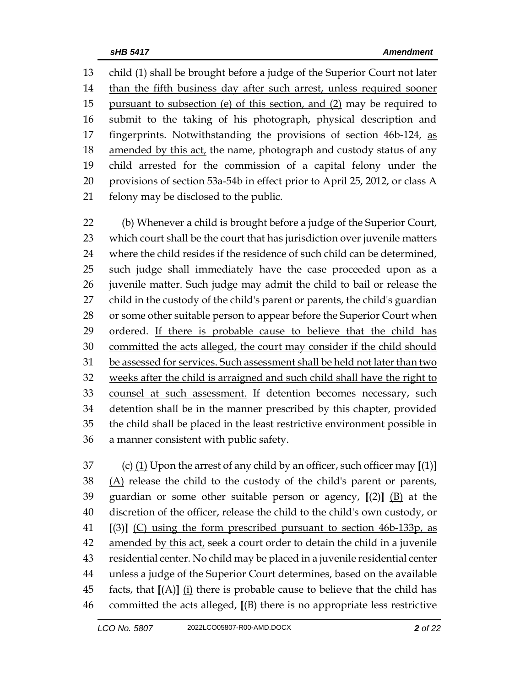child (1) shall be brought before a judge of the Superior Court not later 14 than the fifth business day after such arrest, unless required sooner 15 pursuant to subsection (e) of this section, and (2) may be required to submit to the taking of his photograph, physical description and 17 fingerprints. Notwithstanding the provisions of section 46b-124, as 18 amended by this act, the name, photograph and custody status of any child arrested for the commission of a capital felony under the provisions of section 53a-54b in effect prior to April 25, 2012, or class A felony may be disclosed to the public.

 (b) Whenever a child is brought before a judge of the Superior Court, which court shall be the court that has jurisdiction over juvenile matters where the child resides if the residence of such child can be determined, such judge shall immediately have the case proceeded upon as a juvenile matter. Such judge may admit the child to bail or release the child in the custody of the child's parent or parents, the child's guardian 28 or some other suitable person to appear before the Superior Court when 29 ordered. If there is probable cause to believe that the child has 30 committed the acts alleged, the court may consider if the child should be assessed for services. Such assessment shall be held not later than two weeks after the child is arraigned and such child shall have the right to counsel at such assessment. If detention becomes necessary, such detention shall be in the manner prescribed by this chapter, provided the child shall be placed in the least restrictive environment possible in a manner consistent with public safety.

 (c) (1) Upon the arrest of any child by an officer, such officer may **[**(1)**]** (A) release the child to the custody of the child's parent or parents, guardian or some other suitable person or agency, **[**(2)**]** (B) at the discretion of the officer, release the child to the child's own custody, or **[**(3)**]** (C) using the form prescribed pursuant to section 46b-133p, as amended by this act, seek a court order to detain the child in a juvenile residential center. No child may be placed in a juvenile residential center unless a judge of the Superior Court determines, based on the available facts, that **[**(A)**]** (i) there is probable cause to believe that the child has committed the acts alleged, **[**(B) there is no appropriate less restrictive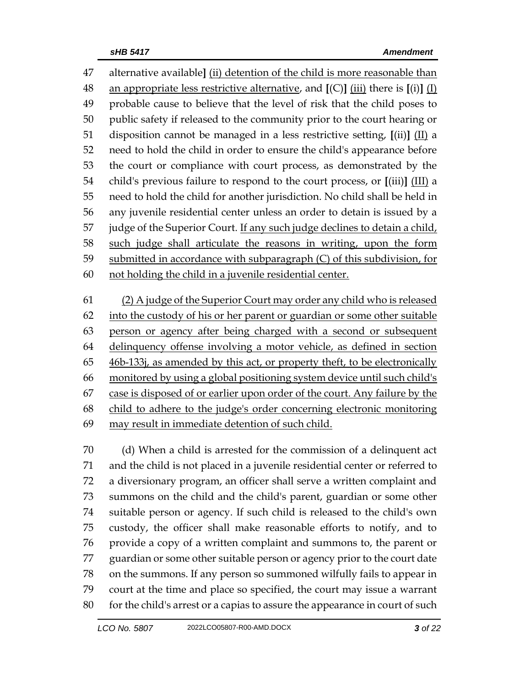alternative available**]** (ii) detention of the child is more reasonable than an appropriate less restrictive alternative, and **[**(C)**]** (iii) there is **[**(i)**]** (I) probable cause to believe that the level of risk that the child poses to public safety if released to the community prior to the court hearing or disposition cannot be managed in a less restrictive setting, **[**(ii)**]** (II) a need to hold the child in order to ensure the child's appearance before the court or compliance with court process, as demonstrated by the child's previous failure to respond to the court process, or **[**(iii)**]** (III) a need to hold the child for another jurisdiction. No child shall be held in any juvenile residential center unless an order to detain is issued by a 57 judge of the Superior Court. If any such judge declines to detain a child, such judge shall articulate the reasons in writing, upon the form submitted in accordance with subparagraph (C) of this subdivision, for not holding the child in a juvenile residential center.

 (2) A judge of the Superior Court may order any child who is released into the custody of his or her parent or guardian or some other suitable person or agency after being charged with a second or subsequent delinquency offense involving a motor vehicle, as defined in section 46b-133j, as amended by this act, or property theft, to be electronically monitored by using a global positioning system device until such child's case is disposed of or earlier upon order of the court. Any failure by the child to adhere to the judge's order concerning electronic monitoring may result in immediate detention of such child.

 (d) When a child is arrested for the commission of a delinquent act and the child is not placed in a juvenile residential center or referred to a diversionary program, an officer shall serve a written complaint and summons on the child and the child's parent, guardian or some other suitable person or agency. If such child is released to the child's own custody, the officer shall make reasonable efforts to notify, and to provide a copy of a written complaint and summons to, the parent or guardian or some other suitable person or agency prior to the court date on the summons. If any person so summoned wilfully fails to appear in court at the time and place so specified, the court may issue a warrant 80 for the child's arrest or a capias to assure the appearance in court of such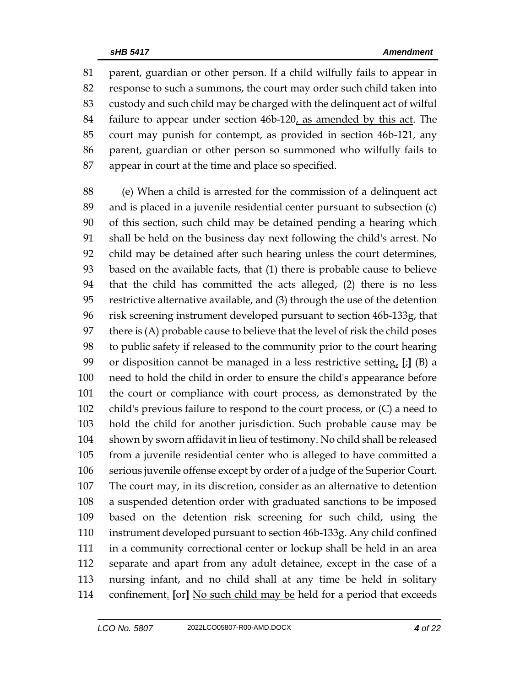parent, guardian or other person. If a child wilfully fails to appear in response to such a summons, the court may order such child taken into custody and such child may be charged with the delinquent act of wilful failure to appear under section 46b-120, as amended by this act. The court may punish for contempt, as provided in section 46b-121, any parent, guardian or other person so summoned who wilfully fails to appear in court at the time and place so specified.

 (e) When a child is arrested for the commission of a delinquent act and is placed in a juvenile residential center pursuant to subsection (c) of this section, such child may be detained pending a hearing which shall be held on the business day next following the child's arrest. No child may be detained after such hearing unless the court determines, based on the available facts, that (1) there is probable cause to believe that the child has committed the acts alleged, (2) there is no less restrictive alternative available, and (3) through the use of the detention risk screening instrument developed pursuant to section 46b-133g, that there is (A) probable cause to believe that the level of risk the child poses to public safety if released to the community prior to the court hearing or disposition cannot be managed in a less restrictive setting, **[**;**]** (B) a need to hold the child in order to ensure the child's appearance before the court or compliance with court process, as demonstrated by the child's previous failure to respond to the court process, or (C) a need to hold the child for another jurisdiction. Such probable cause may be shown by sworn affidavit in lieu of testimony. No child shall be released from a juvenile residential center who is alleged to have committed a serious juvenile offense except by order of a judge of the Superior Court. The court may, in its discretion, consider as an alternative to detention a suspended detention order with graduated sanctions to be imposed based on the detention risk screening for such child, using the instrument developed pursuant to section 46b-133g. Any child confined in a community correctional center or lockup shall be held in an area separate and apart from any adult detainee, except in the case of a nursing infant, and no child shall at any time be held in solitary confinement. **[**or**]** No such child may be held for a period that exceeds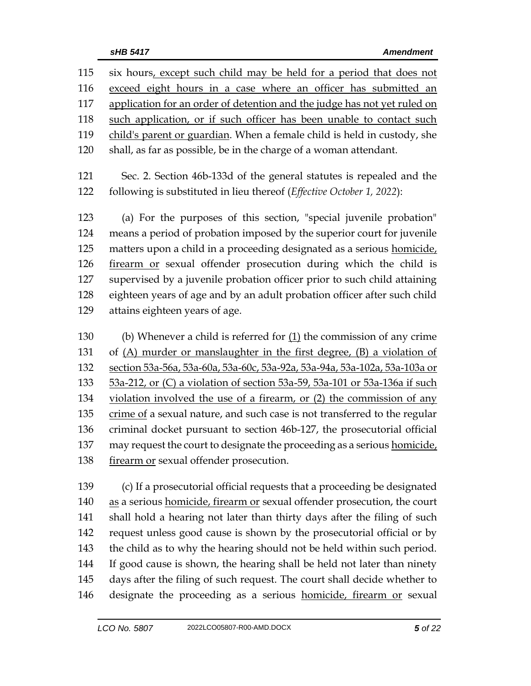| six hours, except such child may be held for a period that does not        |  |  |  |
|----------------------------------------------------------------------------|--|--|--|
| exceed eight hours in a case where an officer has submitted an             |  |  |  |
| application for an order of detention and the judge has not yet ruled on   |  |  |  |
| such application, or if such officer has been unable to contact such       |  |  |  |
| child's parent or guardian. When a female child is held in custody, she    |  |  |  |
| shall, as far as possible, be in the charge of a woman attendant.          |  |  |  |
| Sec. 2. Section 46b-133d of the general statutes is repealed and the       |  |  |  |
| following is substituted in lieu thereof (Effective October 1, 2022):      |  |  |  |
| (a) For the purposes of this section, "special juvenile probation"         |  |  |  |
| means a period of probation imposed by the superior court for juvenile     |  |  |  |
| matters upon a child in a proceeding designated as a serious homicide,     |  |  |  |
| firearm or sexual offender prosecution during which the child is           |  |  |  |
| supervised by a juvenile probation officer prior to such child attaining   |  |  |  |
| eighteen years of age and by an adult probation officer after such child   |  |  |  |
| attains eighteen years of age.                                             |  |  |  |
| (b) Whenever a child is referred for $(1)$ the commission of any crime     |  |  |  |
| of $(A)$ murder or manslaughter in the first degree, $(B)$ a violation of  |  |  |  |
| section 53a-56a, 53a-60a, 53a-60c, 53a-92a, 53a-94a, 53a-102a, 53a-103a or |  |  |  |
| 53a-212, or (C) a violation of section 53a-59, 53a-101 or 53a-136a if such |  |  |  |
| violation involved the use of a firearm, or (2) the commission of any      |  |  |  |
| crime of a sexual nature, and such case is not transferred to the regular  |  |  |  |
| criminal docket pursuant to section 46b-127, the prosecutorial official    |  |  |  |
|                                                                            |  |  |  |

137 may request the court to designate the proceeding as a serious homicide, 138 firearm or sexual offender prosecution.

 (c) If a prosecutorial official requests that a proceeding be designated 140 as a serious homicide, firearm or sexual offender prosecution, the court shall hold a hearing not later than thirty days after the filing of such request unless good cause is shown by the prosecutorial official or by the child as to why the hearing should not be held within such period. If good cause is shown, the hearing shall be held not later than ninety days after the filing of such request. The court shall decide whether to designate the proceeding as a serious homicide, firearm or sexual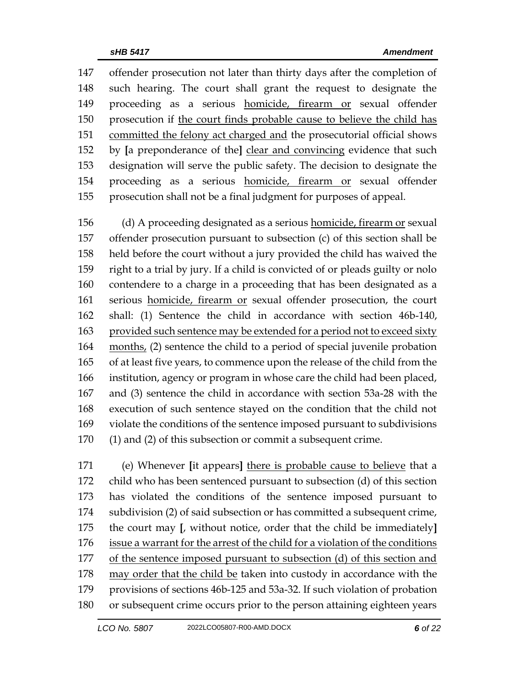offender prosecution not later than thirty days after the completion of such hearing. The court shall grant the request to designate the proceeding as a serious homicide, firearm or sexual offender prosecution if the court finds probable cause to believe the child has committed the felony act charged and the prosecutorial official shows by **[**a preponderance of the**]** clear and convincing evidence that such designation will serve the public safety. The decision to designate the proceeding as a serious homicide, firearm or sexual offender prosecution shall not be a final judgment for purposes of appeal.

 (d) A proceeding designated as a serious homicide, firearm or sexual offender prosecution pursuant to subsection (c) of this section shall be held before the court without a jury provided the child has waived the right to a trial by jury. If a child is convicted of or pleads guilty or nolo contendere to a charge in a proceeding that has been designated as a serious homicide, firearm or sexual offender prosecution, the court shall: (1) Sentence the child in accordance with section 46b-140, provided such sentence may be extended for a period not to exceed sixty months, (2) sentence the child to a period of special juvenile probation of at least five years, to commence upon the release of the child from the institution, agency or program in whose care the child had been placed, and (3) sentence the child in accordance with section 53a-28 with the execution of such sentence stayed on the condition that the child not violate the conditions of the sentence imposed pursuant to subdivisions (1) and (2) of this subsection or commit a subsequent crime.

 (e) Whenever **[**it appears**]** there is probable cause to believe that a child who has been sentenced pursuant to subsection (d) of this section has violated the conditions of the sentence imposed pursuant to subdivision (2) of said subsection or has committed a subsequent crime, the court may **[**, without notice, order that the child be immediately**]** issue a warrant for the arrest of the child for a violation of the conditions of the sentence imposed pursuant to subsection (d) of this section and may order that the child be taken into custody in accordance with the provisions of sections 46b-125 and 53a-32. If such violation of probation or subsequent crime occurs prior to the person attaining eighteen years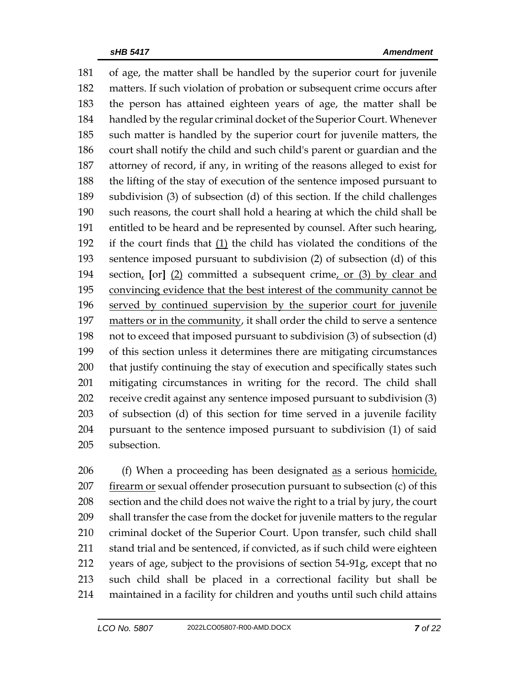of age, the matter shall be handled by the superior court for juvenile matters. If such violation of probation or subsequent crime occurs after the person has attained eighteen years of age, the matter shall be handled by the regular criminal docket of the Superior Court. Whenever such matter is handled by the superior court for juvenile matters, the court shall notify the child and such child's parent or guardian and the attorney of record, if any, in writing of the reasons alleged to exist for the lifting of the stay of execution of the sentence imposed pursuant to subdivision (3) of subsection (d) of this section. If the child challenges such reasons, the court shall hold a hearing at which the child shall be entitled to be heard and be represented by counsel. After such hearing, if the court finds that (1) the child has violated the conditions of the sentence imposed pursuant to subdivision (2) of subsection (d) of this section, **[**or**]** (2) committed a subsequent crime, or (3) by clear and convincing evidence that the best interest of the community cannot be served by continued supervision by the superior court for juvenile matters or in the community, it shall order the child to serve a sentence not to exceed that imposed pursuant to subdivision (3) of subsection (d) of this section unless it determines there are mitigating circumstances that justify continuing the stay of execution and specifically states such mitigating circumstances in writing for the record. The child shall receive credit against any sentence imposed pursuant to subdivision (3) of subsection (d) of this section for time served in a juvenile facility pursuant to the sentence imposed pursuant to subdivision (1) of said subsection.

206 (f) When a proceeding has been designated as a serious homicide, firearm or sexual offender prosecution pursuant to subsection (c) of this section and the child does not waive the right to a trial by jury, the court shall transfer the case from the docket for juvenile matters to the regular criminal docket of the Superior Court. Upon transfer, such child shall 211 stand trial and be sentenced, if convicted, as if such child were eighteen years of age, subject to the provisions of section 54-91g, except that no such child shall be placed in a correctional facility but shall be maintained in a facility for children and youths until such child attains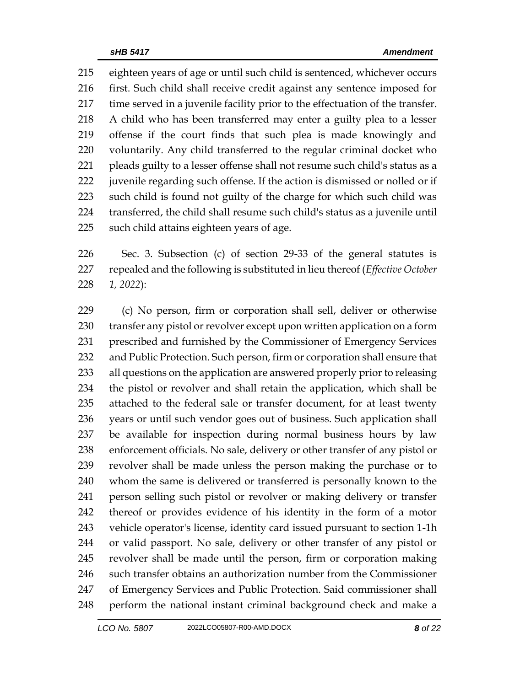eighteen years of age or until such child is sentenced, whichever occurs first. Such child shall receive credit against any sentence imposed for time served in a juvenile facility prior to the effectuation of the transfer. A child who has been transferred may enter a guilty plea to a lesser offense if the court finds that such plea is made knowingly and voluntarily. Any child transferred to the regular criminal docket who pleads guilty to a lesser offense shall not resume such child's status as a juvenile regarding such offense. If the action is dismissed or nolled or if such child is found not guilty of the charge for which such child was transferred, the child shall resume such child's status as a juvenile until such child attains eighteen years of age.

 Sec. 3. Subsection (c) of section 29-33 of the general statutes is repealed and the following is substituted in lieu thereof (*Effective October 1, 2022*):

 (c) No person, firm or corporation shall sell, deliver or otherwise transfer any pistol or revolver except upon written application on a form prescribed and furnished by the Commissioner of Emergency Services and Public Protection. Such person, firm or corporation shall ensure that all questions on the application are answered properly prior to releasing the pistol or revolver and shall retain the application, which shall be attached to the federal sale or transfer document, for at least twenty years or until such vendor goes out of business. Such application shall be available for inspection during normal business hours by law enforcement officials. No sale, delivery or other transfer of any pistol or revolver shall be made unless the person making the purchase or to whom the same is delivered or transferred is personally known to the person selling such pistol or revolver or making delivery or transfer thereof or provides evidence of his identity in the form of a motor vehicle operator's license, identity card issued pursuant to section 1-1h or valid passport. No sale, delivery or other transfer of any pistol or revolver shall be made until the person, firm or corporation making such transfer obtains an authorization number from the Commissioner of Emergency Services and Public Protection. Said commissioner shall perform the national instant criminal background check and make a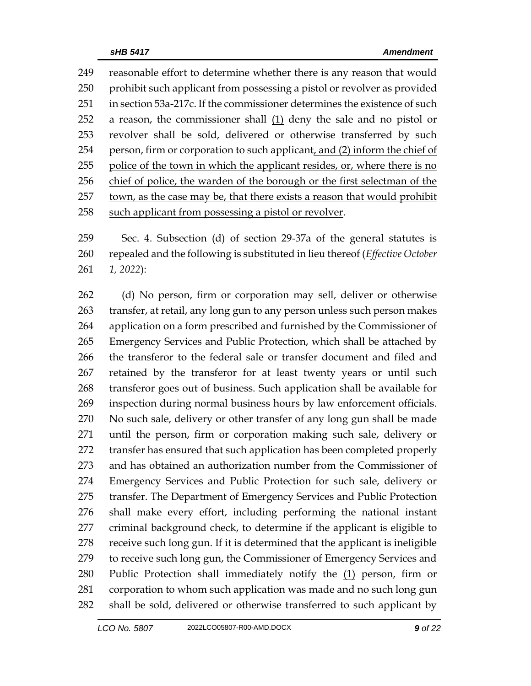reasonable effort to determine whether there is any reason that would 250 prohibit such applicant from possessing a pistol or revolver as provided in section 53a-217c. If the commissioner determines the existence of such a reason, the commissioner shall (1) deny the sale and no pistol or revolver shall be sold, delivered or otherwise transferred by such 254 person, firm or corporation to such applicant, and (2) inform the chief of police of the town in which the applicant resides, or, where there is no chief of police, the warden of the borough or the first selectman of the town, as the case may be, that there exists a reason that would prohibit such applicant from possessing a pistol or revolver.

 Sec. 4. Subsection (d) of section 29-37a of the general statutes is repealed and the following is substituted in lieu thereof (*Effective October 1, 2022*):

 (d) No person, firm or corporation may sell, deliver or otherwise transfer, at retail, any long gun to any person unless such person makes application on a form prescribed and furnished by the Commissioner of Emergency Services and Public Protection, which shall be attached by the transferor to the federal sale or transfer document and filed and retained by the transferor for at least twenty years or until such transferor goes out of business. Such application shall be available for inspection during normal business hours by law enforcement officials. No such sale, delivery or other transfer of any long gun shall be made until the person, firm or corporation making such sale, delivery or transfer has ensured that such application has been completed properly and has obtained an authorization number from the Commissioner of Emergency Services and Public Protection for such sale, delivery or transfer. The Department of Emergency Services and Public Protection shall make every effort, including performing the national instant criminal background check, to determine if the applicant is eligible to receive such long gun. If it is determined that the applicant is ineligible 279 to receive such long gun, the Commissioner of Emergency Services and 280 Public Protection shall immediately notify the  $(1)$  person, firm or corporation to whom such application was made and no such long gun shall be sold, delivered or otherwise transferred to such applicant by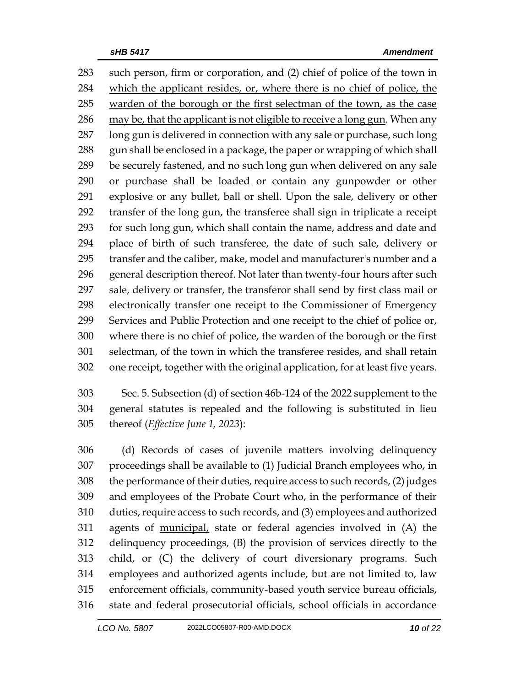such person, firm or corporation, and (2) chief of police of the town in which the applicant resides, or, where there is no chief of police, the warden of the borough or the first selectman of the town, as the case may be, that the applicant is not eligible to receive a long gun. When any long gun is delivered in connection with any sale or purchase, such long 288 gun shall be enclosed in a package, the paper or wrapping of which shall be securely fastened, and no such long gun when delivered on any sale or purchase shall be loaded or contain any gunpowder or other explosive or any bullet, ball or shell. Upon the sale, delivery or other transfer of the long gun, the transferee shall sign in triplicate a receipt for such long gun, which shall contain the name, address and date and place of birth of such transferee, the date of such sale, delivery or transfer and the caliber, make, model and manufacturer's number and a general description thereof. Not later than twenty-four hours after such sale, delivery or transfer, the transferor shall send by first class mail or electronically transfer one receipt to the Commissioner of Emergency Services and Public Protection and one receipt to the chief of police or, where there is no chief of police, the warden of the borough or the first selectman, of the town in which the transferee resides, and shall retain one receipt, together with the original application, for at least five years.

 Sec. 5. Subsection (d) of section 46b-124 of the 2022 supplement to the general statutes is repealed and the following is substituted in lieu thereof (*Effective June 1, 2023*):

 (d) Records of cases of juvenile matters involving delinquency proceedings shall be available to (1) Judicial Branch employees who, in the performance of their duties, require access to such records, (2) judges and employees of the Probate Court who, in the performance of their duties, require access to such records, and (3) employees and authorized agents of municipal, state or federal agencies involved in (A) the delinquency proceedings, (B) the provision of services directly to the child, or (C) the delivery of court diversionary programs. Such employees and authorized agents include, but are not limited to, law enforcement officials, community-based youth service bureau officials, state and federal prosecutorial officials, school officials in accordance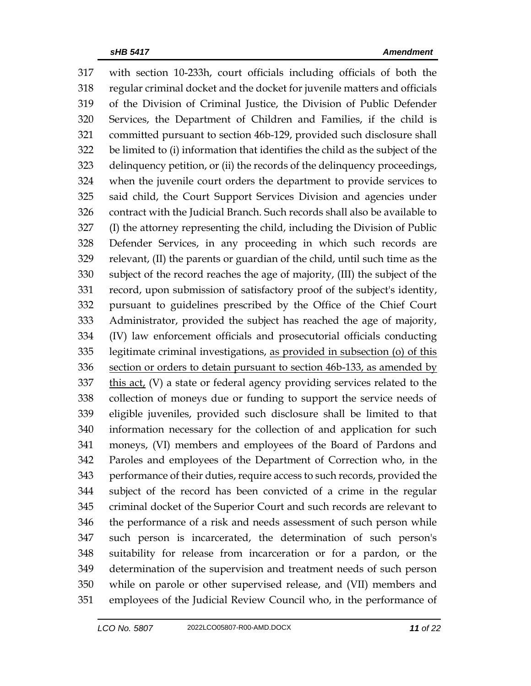with section 10-233h, court officials including officials of both the regular criminal docket and the docket for juvenile matters and officials of the Division of Criminal Justice, the Division of Public Defender Services, the Department of Children and Families, if the child is committed pursuant to section 46b-129, provided such disclosure shall be limited to (i) information that identifies the child as the subject of the delinquency petition, or (ii) the records of the delinquency proceedings, when the juvenile court orders the department to provide services to said child, the Court Support Services Division and agencies under contract with the Judicial Branch. Such records shall also be available to (I) the attorney representing the child, including the Division of Public Defender Services, in any proceeding in which such records are relevant, (II) the parents or guardian of the child, until such time as the subject of the record reaches the age of majority, (III) the subject of the record, upon submission of satisfactory proof of the subject's identity, pursuant to guidelines prescribed by the Office of the Chief Court Administrator, provided the subject has reached the age of majority, (IV) law enforcement officials and prosecutorial officials conducting legitimate criminal investigations, as provided in subsection (o) of this 336 section or orders to detain pursuant to section 46b-133, as amended by this act, (V) a state or federal agency providing services related to the collection of moneys due or funding to support the service needs of eligible juveniles, provided such disclosure shall be limited to that information necessary for the collection of and application for such moneys, (VI) members and employees of the Board of Pardons and Paroles and employees of the Department of Correction who, in the performance of their duties, require access to such records, provided the subject of the record has been convicted of a crime in the regular criminal docket of the Superior Court and such records are relevant to the performance of a risk and needs assessment of such person while such person is incarcerated, the determination of such person's suitability for release from incarceration or for a pardon, or the determination of the supervision and treatment needs of such person while on parole or other supervised release, and (VII) members and employees of the Judicial Review Council who, in the performance of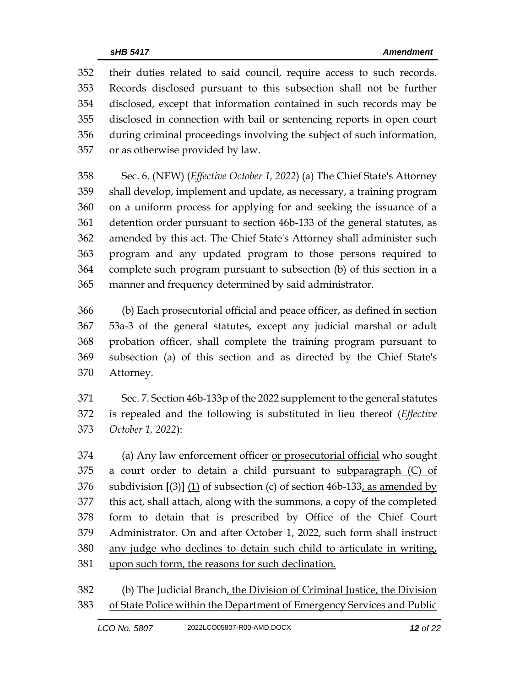their duties related to said council, require access to such records. Records disclosed pursuant to this subsection shall not be further disclosed, except that information contained in such records may be disclosed in connection with bail or sentencing reports in open court during criminal proceedings involving the subject of such information, or as otherwise provided by law.

 Sec. 6. (NEW) (*Effective October 1, 2022*) (a) The Chief State's Attorney shall develop, implement and update, as necessary, a training program on a uniform process for applying for and seeking the issuance of a detention order pursuant to section 46b-133 of the general statutes, as amended by this act. The Chief State's Attorney shall administer such program and any updated program to those persons required to complete such program pursuant to subsection (b) of this section in a manner and frequency determined by said administrator.

 (b) Each prosecutorial official and peace officer, as defined in section 53a-3 of the general statutes, except any judicial marshal or adult probation officer, shall complete the training program pursuant to subsection (a) of this section and as directed by the Chief State's Attorney.

 Sec. 7. Section 46b-133p of the 2022 supplement to the general statutes is repealed and the following is substituted in lieu thereof (*Effective October 1, 2022*):

 (a) Any law enforcement officer or prosecutorial official who sought 375 a court order to detain a child pursuant to subparagraph  $(C)$  of subdivision **[**(3)**]** (1) of subsection (c) of section 46b-133, as amended by this act, shall attach, along with the summons, a copy of the completed form to detain that is prescribed by Office of the Chief Court Administrator. On and after October 1, 2022, such form shall instruct any judge who declines to detain such child to articulate in writing, upon such form, the reasons for such declination.

 (b) The Judicial Branch, the Division of Criminal Justice, the Division of State Police within the Department of Emergency Services and Public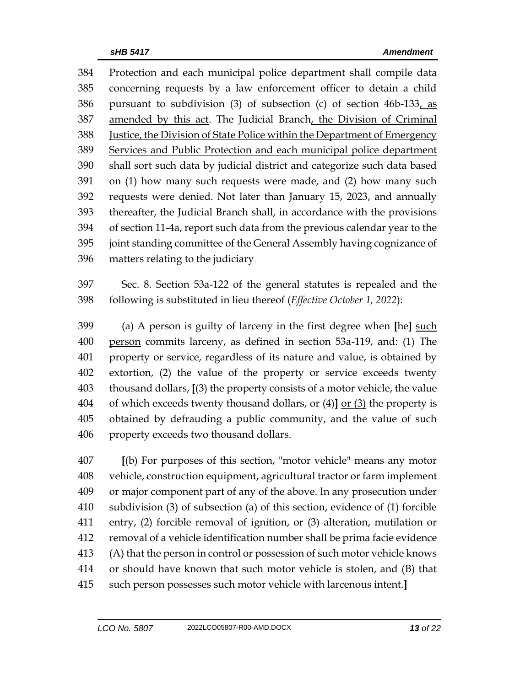Protection and each municipal police department shall compile data concerning requests by a law enforcement officer to detain a child pursuant to subdivision (3) of subsection (c) of section 46b-133, as 387 amended by this act. The Judicial Branch, the Division of Criminal Justice, the Division of State Police within the Department of Emergency Services and Public Protection and each municipal police department shall sort such data by judicial district and categorize such data based on (1) how many such requests were made, and (2) how many such requests were denied. Not later than January 15, 2023, and annually thereafter, the Judicial Branch shall, in accordance with the provisions of section 11-4a, report such data from the previous calendar year to the joint standing committee of the General Assembly having cognizance of matters relating to the judiciary.

 Sec. 8. Section 53a-122 of the general statutes is repealed and the following is substituted in lieu thereof (*Effective October 1, 2022*):

 (a) A person is guilty of larceny in the first degree when **[**he**]** such person commits larceny, as defined in section 53a-119, and: (1) The property or service, regardless of its nature and value, is obtained by extortion, (2) the value of the property or service exceeds twenty thousand dollars, **[**(3) the property consists of a motor vehicle, the value of which exceeds twenty thousand dollars, or (4)**]** or (3) the property is obtained by defrauding a public community, and the value of such property exceeds two thousand dollars.

 **[**(b) For purposes of this section, "motor vehicle" means any motor vehicle, construction equipment, agricultural tractor or farm implement or major component part of any of the above. In any prosecution under subdivision (3) of subsection (a) of this section, evidence of (1) forcible entry, (2) forcible removal of ignition, or (3) alteration, mutilation or removal of a vehicle identification number shall be prima facie evidence (A) that the person in control or possession of such motor vehicle knows or should have known that such motor vehicle is stolen, and (B) that such person possesses such motor vehicle with larcenous intent.**]**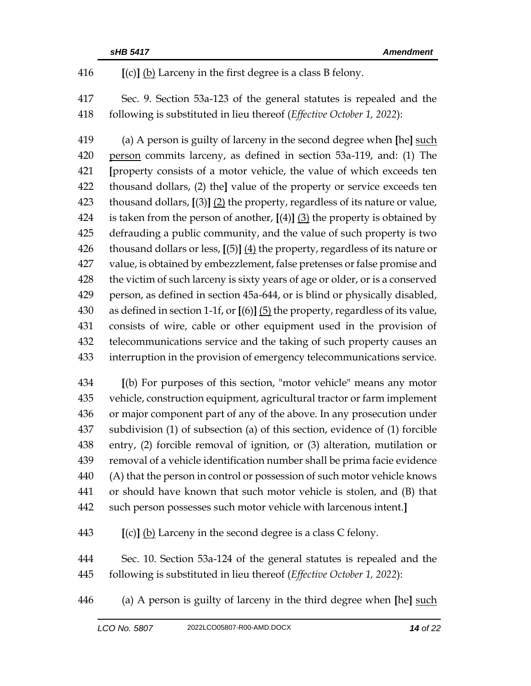**[**(c)**]** (b) Larceny in the first degree is a class B felony.

 Sec. 9. Section 53a-123 of the general statutes is repealed and the following is substituted in lieu thereof (*Effective October 1, 2022*):

 (a) A person is guilty of larceny in the second degree when **[**he**]** such person commits larceny, as defined in section 53a-119, and: (1) The **[**property consists of a motor vehicle, the value of which exceeds ten thousand dollars, (2) the**]** value of the property or service exceeds ten thousand dollars, **[**(3)**]** (2) the property, regardless of its nature or value, is taken from the person of another, **[**(4)**]** (3) the property is obtained by defrauding a public community, and the value of such property is two thousand dollars or less, **[**(5)**]** (4) the property, regardless of its nature or value, is obtained by embezzlement, false pretenses or false promise and the victim of such larceny is sixty years of age or older, or is a conserved person, as defined in section 45a-644, or is blind or physically disabled, as defined in section 1-1f, or **[**(6)**]** (5) the property, regardless of its value, consists of wire, cable or other equipment used in the provision of telecommunications service and the taking of such property causes an interruption in the provision of emergency telecommunications service.

 **[**(b) For purposes of this section, "motor vehicle" means any motor vehicle, construction equipment, agricultural tractor or farm implement or major component part of any of the above. In any prosecution under subdivision (1) of subsection (a) of this section, evidence of (1) forcible entry, (2) forcible removal of ignition, or (3) alteration, mutilation or removal of a vehicle identification number shall be prima facie evidence (A) that the person in control or possession of such motor vehicle knows or should have known that such motor vehicle is stolen, and (B) that such person possesses such motor vehicle with larcenous intent.**]**

**[**(c)**]** (b) Larceny in the second degree is a class C felony.

 Sec. 10. Section 53a-124 of the general statutes is repealed and the following is substituted in lieu thereof (*Effective October 1, 2022*):

(a) A person is guilty of larceny in the third degree when **[**he**]** such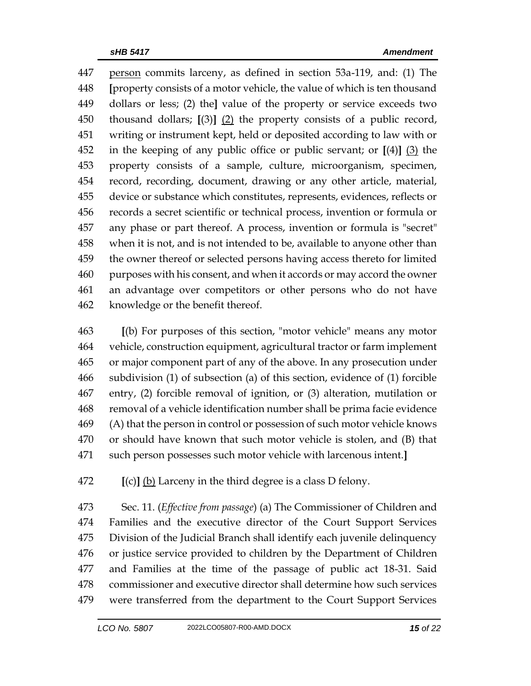person commits larceny, as defined in section 53a-119, and: (1) The **[**property consists of a motor vehicle, the value of which is ten thousand dollars or less; (2) the**]** value of the property or service exceeds two thousand dollars; **[**(3)**]** (2) the property consists of a public record, writing or instrument kept, held or deposited according to law with or in the keeping of any public office or public servant; or **[**(4)**]** (3) the property consists of a sample, culture, microorganism, specimen, record, recording, document, drawing or any other article, material, device or substance which constitutes, represents, evidences, reflects or records a secret scientific or technical process, invention or formula or any phase or part thereof. A process, invention or formula is "secret" when it is not, and is not intended to be, available to anyone other than the owner thereof or selected persons having access thereto for limited purposes with his consent, and when it accords or may accord the owner an advantage over competitors or other persons who do not have knowledge or the benefit thereof.

 **[**(b) For purposes of this section, "motor vehicle" means any motor vehicle, construction equipment, agricultural tractor or farm implement or major component part of any of the above. In any prosecution under subdivision (1) of subsection (a) of this section, evidence of (1) forcible entry, (2) forcible removal of ignition, or (3) alteration, mutilation or removal of a vehicle identification number shall be prima facie evidence (A) that the person in control or possession of such motor vehicle knows or should have known that such motor vehicle is stolen, and (B) that such person possesses such motor vehicle with larcenous intent.**]**

**[**(c)**]** (b) Larceny in the third degree is a class D felony.

 Sec. 11. (*Effective from passage*) (a) The Commissioner of Children and Families and the executive director of the Court Support Services Division of the Judicial Branch shall identify each juvenile delinquency or justice service provided to children by the Department of Children and Families at the time of the passage of public act 18-31. Said commissioner and executive director shall determine how such services were transferred from the department to the Court Support Services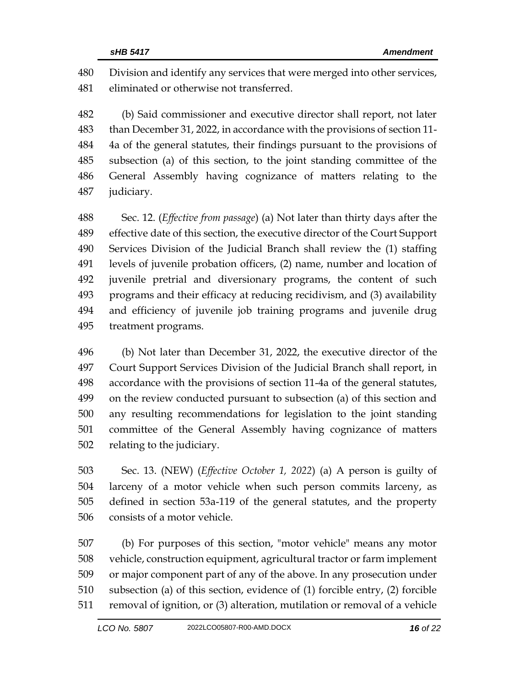Division and identify any services that were merged into other services, eliminated or otherwise not transferred.

 (b) Said commissioner and executive director shall report, not later than December 31, 2022, in accordance with the provisions of section 11- 4a of the general statutes, their findings pursuant to the provisions of subsection (a) of this section, to the joint standing committee of the General Assembly having cognizance of matters relating to the judiciary.

 Sec. 12. (*Effective from passage*) (a) Not later than thirty days after the effective date of this section, the executive director of the Court Support Services Division of the Judicial Branch shall review the (1) staffing levels of juvenile probation officers, (2) name, number and location of juvenile pretrial and diversionary programs, the content of such programs and their efficacy at reducing recidivism, and (3) availability and efficiency of juvenile job training programs and juvenile drug treatment programs.

 (b) Not later than December 31, 2022, the executive director of the Court Support Services Division of the Judicial Branch shall report, in accordance with the provisions of section 11-4a of the general statutes, on the review conducted pursuant to subsection (a) of this section and any resulting recommendations for legislation to the joint standing committee of the General Assembly having cognizance of matters relating to the judiciary.

 Sec. 13. (NEW) (*Effective October 1, 2022*) (a) A person is guilty of larceny of a motor vehicle when such person commits larceny, as defined in section 53a-119 of the general statutes, and the property consists of a motor vehicle.

 (b) For purposes of this section, "motor vehicle" means any motor vehicle, construction equipment, agricultural tractor or farm implement or major component part of any of the above. In any prosecution under subsection (a) of this section, evidence of (1) forcible entry, (2) forcible removal of ignition, or (3) alteration, mutilation or removal of a vehicle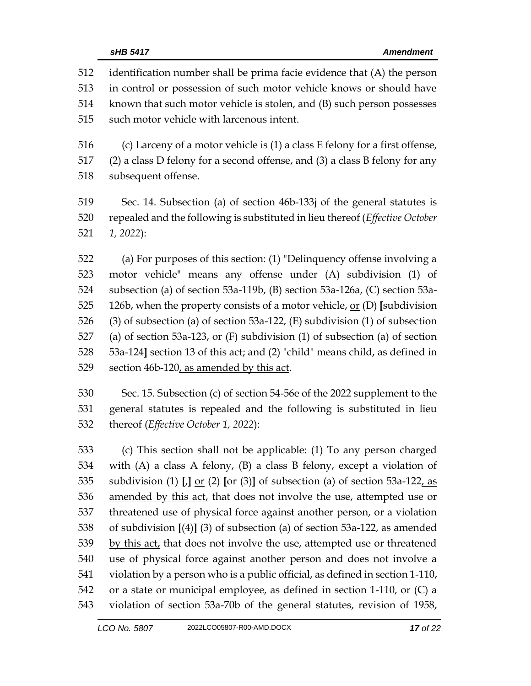| 512 | identification number shall be prima facie evidence that (A) the person           |  |  |
|-----|-----------------------------------------------------------------------------------|--|--|
| 513 | in control or possession of such motor vehicle knows or should have               |  |  |
| 514 | known that such motor vehicle is stolen, and (B) such person possesses            |  |  |
| 515 | such motor vehicle with larcenous intent.                                         |  |  |
| 516 | (c) Larceny of a motor vehicle is (1) a class E felony for a first offense,       |  |  |
| 517 | $(2)$ a class D felony for a second offense, and $(3)$ a class B felony for any   |  |  |
| 518 | subsequent offense.                                                               |  |  |
| 519 | Sec. 14. Subsection (a) of section 46b-133j of the general statutes is            |  |  |
| 520 | repealed and the following is substituted in lieu thereof (Effective October      |  |  |
| 521 | $1, 2022$ :                                                                       |  |  |
| 522 | (a) For purposes of this section: (1) "Delinquency offense involving a            |  |  |
| 523 | motor vehicle" means any offense under (A) subdivision (1) of                     |  |  |
| 524 | subsection (a) of section 53a-119b, (B) section 53a-126a, (C) section 53a-        |  |  |
| 525 | 126b, when the property consists of a motor vehicle, $or$ (D) [subdivision        |  |  |
| 526 | $(3)$ of subsection (a) of section 53a-122, (E) subdivision (1) of subsection     |  |  |
| 527 | (a) of section 53a-123, or $(F)$ subdivision $(1)$ of subsection $(a)$ of section |  |  |
| 528 | 53a-124] section 13 of this act; and (2) "child" means child, as defined in       |  |  |
| 529 | section 46b-120, as amended by this act.                                          |  |  |
| 530 | Sec. 15. Subsection (c) of section 54-56e of the 2022 supplement to the           |  |  |
| 531 | general statutes is repealed and the following is substituted in lieu             |  |  |
| 532 | thereof (Effective October 1, 2022):                                              |  |  |
| 533 | (c) This section shall not be applicable: (1) To any person charged               |  |  |
| 534 | with $(A)$ a class $A$ folony $(B)$ a class $B$ folony except a violation of      |  |  |

 with (A) a class A felony, (B) a class B felony, except a violation of subdivision (1) **[**,**]** or (2) **[**or (3)**]** of subsection (a) of section 53a-122, as 536 amended by this act, that does not involve the use, attempted use or threatened use of physical force against another person, or a violation of subdivision **[**(4)**]** (3) of subsection (a) of section 53a-122, as amended 539 by this act, that does not involve the use, attempted use or threatened use of physical force against another person and does not involve a violation by a person who is a public official, as defined in section 1-110, or a state or municipal employee, as defined in section 1-110, or (C) a violation of section 53a-70b of the general statutes, revision of 1958,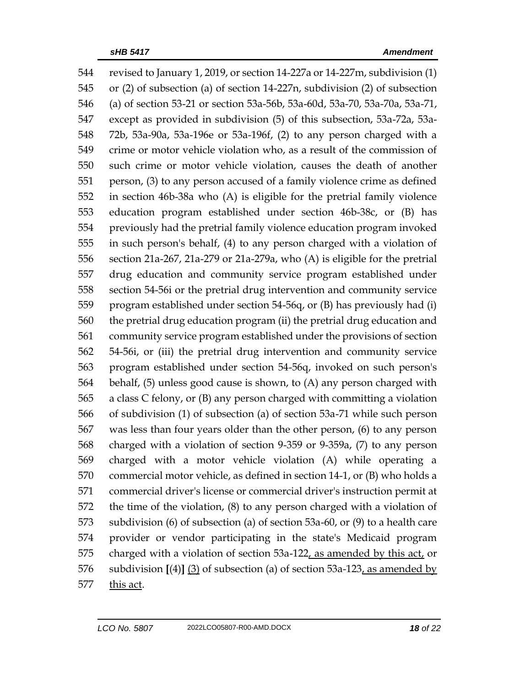revised to January 1, 2019, or section 14-227a or 14-227m, subdivision (1) or (2) of subsection (a) of section 14-227n, subdivision (2) of subsection (a) of section 53-21 or section 53a-56b, 53a-60d, 53a-70, 53a-70a, 53a-71, except as provided in subdivision (5) of this subsection, 53a-72a, 53a- 72b, 53a-90a, 53a-196e or 53a-196f, (2) to any person charged with a crime or motor vehicle violation who, as a result of the commission of such crime or motor vehicle violation, causes the death of another person, (3) to any person accused of a family violence crime as defined in section 46b-38a who (A) is eligible for the pretrial family violence education program established under section 46b-38c, or (B) has previously had the pretrial family violence education program invoked in such person's behalf, (4) to any person charged with a violation of section 21a-267, 21a-279 or 21a-279a, who (A) is eligible for the pretrial drug education and community service program established under section 54-56i or the pretrial drug intervention and community service program established under section 54-56q, or (B) has previously had (i) the pretrial drug education program (ii) the pretrial drug education and community service program established under the provisions of section 54-56i, or (iii) the pretrial drug intervention and community service program established under section 54-56q, invoked on such person's behalf, (5) unless good cause is shown, to (A) any person charged with a class C felony, or (B) any person charged with committing a violation of subdivision (1) of subsection (a) of section 53a-71 while such person was less than four years older than the other person, (6) to any person charged with a violation of section 9-359 or 9-359a, (7) to any person charged with a motor vehicle violation (A) while operating a commercial motor vehicle, as defined in section 14-1, or (B) who holds a commercial driver's license or commercial driver's instruction permit at the time of the violation, (8) to any person charged with a violation of subdivision (6) of subsection (a) of section 53a-60, or (9) to a health care provider or vendor participating in the state's Medicaid program charged with a violation of section 53a-122, as amended by this act, or subdivision **[**(4)**]** (3) of subsection (a) of section 53a-123, as amended by this act.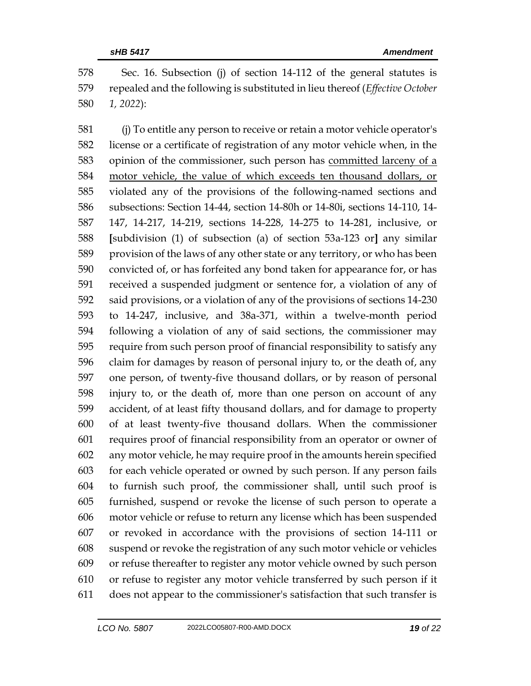Sec. 16. Subsection (j) of section 14-112 of the general statutes is repealed and the following is substituted in lieu thereof (*Effective October 1, 2022*):

 (j) To entitle any person to receive or retain a motor vehicle operator's license or a certificate of registration of any motor vehicle when, in the 583 opinion of the commissioner, such person has committed larceny of a motor vehicle, the value of which exceeds ten thousand dollars, or violated any of the provisions of the following-named sections and subsections: Section 14-44, section 14-80h or 14-80i, sections 14-110, 14- 147, 14-217, 14-219, sections 14-228, 14-275 to 14-281, inclusive, or **[**subdivision (1) of subsection (a) of section 53a-123 or**]** any similar provision of the laws of any other state or any territory, or who has been convicted of, or has forfeited any bond taken for appearance for, or has received a suspended judgment or sentence for, a violation of any of said provisions, or a violation of any of the provisions of sections 14-230 to 14-247, inclusive, and 38a-371, within a twelve-month period following a violation of any of said sections, the commissioner may require from such person proof of financial responsibility to satisfy any claim for damages by reason of personal injury to, or the death of, any one person, of twenty-five thousand dollars, or by reason of personal injury to, or the death of, more than one person on account of any accident, of at least fifty thousand dollars, and for damage to property of at least twenty-five thousand dollars. When the commissioner requires proof of financial responsibility from an operator or owner of any motor vehicle, he may require proof in the amounts herein specified for each vehicle operated or owned by such person. If any person fails to furnish such proof, the commissioner shall, until such proof is furnished, suspend or revoke the license of such person to operate a motor vehicle or refuse to return any license which has been suspended or revoked in accordance with the provisions of section 14-111 or suspend or revoke the registration of any such motor vehicle or vehicles or refuse thereafter to register any motor vehicle owned by such person or refuse to register any motor vehicle transferred by such person if it does not appear to the commissioner's satisfaction that such transfer is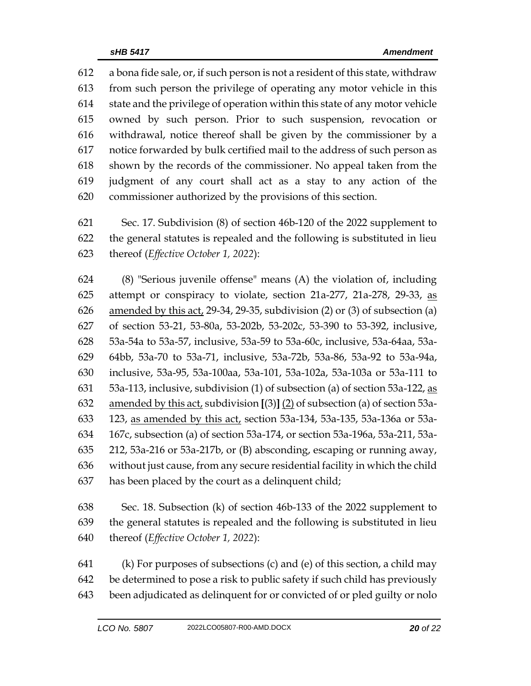a bona fide sale, or, if such person is not a resident of this state, withdraw from such person the privilege of operating any motor vehicle in this state and the privilege of operation within this state of any motor vehicle owned by such person. Prior to such suspension, revocation or withdrawal, notice thereof shall be given by the commissioner by a notice forwarded by bulk certified mail to the address of such person as shown by the records of the commissioner. No appeal taken from the judgment of any court shall act as a stay to any action of the commissioner authorized by the provisions of this section.

 Sec. 17. Subdivision (8) of section 46b-120 of the 2022 supplement to the general statutes is repealed and the following is substituted in lieu thereof (*Effective October 1, 2022*):

 (8) "Serious juvenile offense" means (A) the violation of, including 625 attempt or conspiracy to violate, section 21a-277, 21a-278, 29-33, as amended by this act, 29-34, 29-35, subdivision (2) or (3) of subsection (a) of section 53-21, 53-80a, 53-202b, 53-202c, 53-390 to 53-392, inclusive, 53a-54a to 53a-57, inclusive, 53a-59 to 53a-60c, inclusive, 53a-64aa, 53a- 64bb, 53a-70 to 53a-71, inclusive, 53a-72b, 53a-86, 53a-92 to 53a-94a, inclusive, 53a-95, 53a-100aa, 53a-101, 53a-102a, 53a-103a or 53a-111 to  $\,$  53a-113, inclusive, subdivision (1) of subsection (a) of section 53a-122, as amended by this act, subdivision **[**(3)**]** (2) of subsection (a) of section 53a- 123, as amended by this act, section 53a-134, 53a-135, 53a-136a or 53a- 167c, subsection (a) of section 53a-174, or section 53a-196a, 53a-211, 53a- 212, 53a-216 or 53a-217b, or (B) absconding, escaping or running away, without just cause, from any secure residential facility in which the child has been placed by the court as a delinquent child;

 Sec. 18. Subsection (k) of section 46b-133 of the 2022 supplement to the general statutes is repealed and the following is substituted in lieu thereof (*Effective October 1, 2022*):

 (k) For purposes of subsections (c) and (e) of this section, a child may be determined to pose a risk to public safety if such child has previously been adjudicated as delinquent for or convicted of or pled guilty or nolo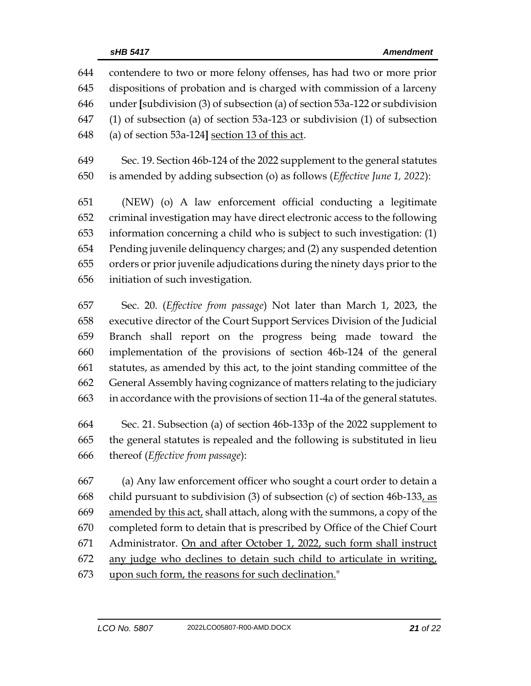contendere to two or more felony offenses, has had two or more prior dispositions of probation and is charged with commission of a larceny under **[**subdivision (3) of subsection (a) of section 53a-122 or subdivision (1) of subsection (a) of section 53a-123 or subdivision (1) of subsection (a) of section 53a-124**]** section 13 of this act. Sec. 19. Section 46b-124 of the 2022 supplement to the general statutes is amended by adding subsection (o) as follows (*Effective June 1, 2022*): (NEW) (o) A law enforcement official conducting a legitimate

 criminal investigation may have direct electronic access to the following information concerning a child who is subject to such investigation: (1) Pending juvenile delinquency charges; and (2) any suspended detention orders or prior juvenile adjudications during the ninety days prior to the initiation of such investigation.

 Sec. 20. (*Effective from passage*) Not later than March 1, 2023, the executive director of the Court Support Services Division of the Judicial Branch shall report on the progress being made toward the implementation of the provisions of section 46b-124 of the general statutes, as amended by this act, to the joint standing committee of the General Assembly having cognizance of matters relating to the judiciary in accordance with the provisions of section 11-4a of the general statutes.

 Sec. 21. Subsection (a) of section 46b-133p of the 2022 supplement to the general statutes is repealed and the following is substituted in lieu thereof (*Effective from passage*):

 (a) Any law enforcement officer who sought a court order to detain a child pursuant to subdivision (3) of subsection (c) of section 46b-133, as amended by this act, shall attach, along with the summons, a copy of the completed form to detain that is prescribed by Office of the Chief Court Administrator. On and after October 1, 2022, such form shall instruct any judge who declines to detain such child to articulate in writing, upon such form, the reasons for such declination."